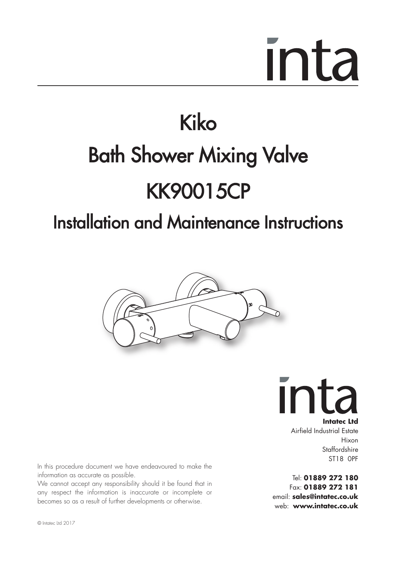### Kiko Bath Shower Mixing Valve KK90015CP

### Installation and Maintenance Instructions



Ir **Intatec Ltd**

Airfield Industrial Estate Hixon Staffordshire ST18 0PF

Tel: **01889 272 180** Fax: **01889 272 181** email: **sales@intatec.co.uk** web: **www.intatec.co.uk**

In this procedure document we have endeavoured to make the information as accurate as possible.

We cannot accept any responsibility should it be found that in any respect the information is inaccurate or incomplete or becomes so as a result of further developments or otherwise.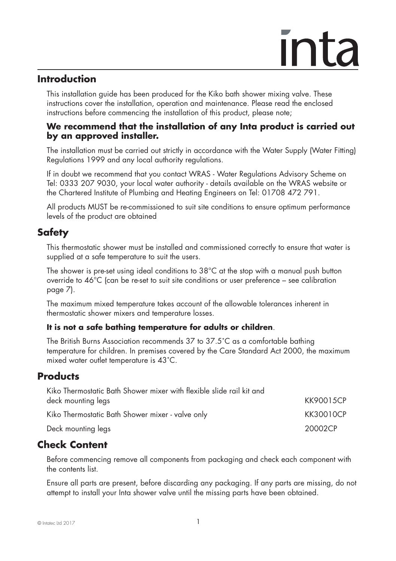### **Introduction**

 This installation guide has been produced for the Kiko bath shower mixing valve. These instructions cover the installation, operation and maintenance. Please read the enclosed instructions before commencing the installation of this product, please note;

### **We recommend that the installation of any Inta product is carried out by an approved installer.**

 The installation must be carried out strictly in accordance with the Water Supply (Water Fitting) Regulations 1999 and any local authority regulations.

 If in doubt we recommend that you contact WRAS - Water Regulations Advisory Scheme on Tel: 0333 207 9030, your local water authority - details available on the WRAS website or the Chartered Institute of Plumbing and Heating Engineers on Tel: 01708 472 791.

 All products MUST be re-commissioned to suit site conditions to ensure optimum performance levels of the product are obtained

### **Safety**

This thermostatic shower must be installed and commissioned correctly to ensure that water is supplied at a safe temperature to suit the users.

The shower is pre-set using ideal conditions to 38°C at the stop with a manual push button override to 46°C (can be re-set to suit site conditions or user preference – see calibration page 7).

The maximum mixed temperature takes account of the allowable tolerances inherent in thermostatic shower mixers and temperature losses.

### **It is not a safe bathing temperature for adults or children**.

The British Burns Association recommends 37 to 37.5˚C as a comfortable bathing temperature for children. In premises covered by the Care Standard Act 2000, the maximum mixed water outlet temperature is 43˚C.

### **Products**

| Kiko Thermostatic Bath Shower mixer with flexible slide rail kit and |           |
|----------------------------------------------------------------------|-----------|
| deck mounting legs                                                   | KK90015CP |
| Kiko Thermostatic Bath Shower mixer - valve only                     | KK30010CP |
| Deck mounting legs                                                   | 20002CP   |

### **Check Content**

 Before commencing remove all components from packaging and check each component with the contents list.

 Ensure all parts are present, before discarding any packaging. If any parts are missing, do not attempt to install your Inta shower valve until the missing parts have been obtained.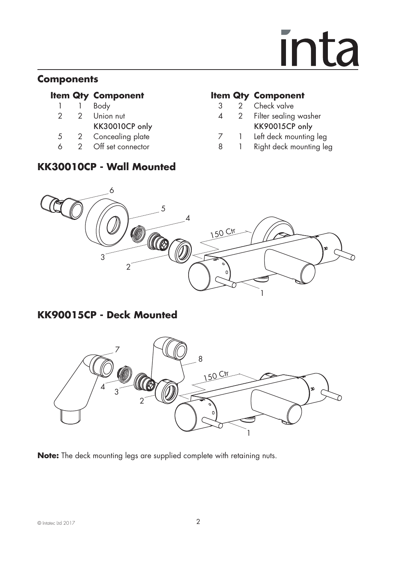### **Components**

- 
- 
- 
- 
- 

### **KK30010CP - Wall Mounted**

### **Item Qty Component Item Qty Component**

- 
- 1 1 Body 3 2 Check valve Filter sealing washer
- KK30010CP only KK90015CP only 5 2 Concealing plate 5 2 2 Concealing plate 5 2 2 Off set connector 5 3 1 Right deck mounting leg
- 6 2 Off set connector 8 1 Right deck mounting leg



### **KK90015CP - Deck Mounted**



**Note:** The deck mounting legs are supplied complete with retaining nuts.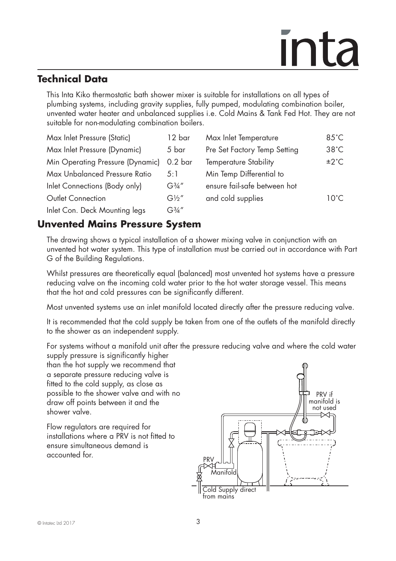### **Technical Data**

 This Inta Kiko thermostatic bath shower mixer is suitable for installations on all types of plumbing systems, including gravity supplies, fully pumped, modulating combination boiler, unvented water heater and unbalanced supplies i.e. Cold Mains & Tank Fed Hot. They are not suitable for non-modulating combination boilers.

| Max Inlet Pressure (Static)      | 12 bar                           | Max Inlet Temperature        | $85^{\circ}$ C |
|----------------------------------|----------------------------------|------------------------------|----------------|
| Max Inlet Pressure (Dynamic)     | 5 bar                            | Pre Set Factory Temp Setting | $38^{\circ}$ C |
| Min Operating Pressure (Dynamic) | 0.2 <sub>bar</sub>               | <b>Temperature Stability</b> | ±2°C           |
| Max Unbalanced Pressure Ratio    | 5:1                              | Min Temp Differential to     |                |
| Inlet Connections (Body only)    | G <sup>3</sup> / <sub>4</sub> '' | ensure fail-safe between hot |                |
| Outlet Connection                | $G\frac{1}{2}$ "                 | and cold supplies            | $10^{\circ}$ C |
| Inlet Con. Deck Mounting legs    | G¾"                              |                              |                |

### **Unvented Mains Pressure System**

 The drawing shows a typical installation of a shower mixing valve in conjunction with an unvented hot water system. This type of installation must be carried out in accordance with Part G of the Building Regulations.

 Whilst pressures are theoretically equal (balanced) most unvented hot systems have a pressure reducing valve on the incoming cold water prior to the hot water storage vessel. This means that the hot and cold pressures can be significantly different.

Most unvented systems use an inlet manifold located directly after the pressure reducing valve.

 It is recommended that the cold supply be taken from one of the outlets of the manifold directly to the shower as an independent supply.

For systems without a manifold unit after the pressure reducing valve and where the cold water

 supply pressure is significantly higher than the hot supply we recommend that a separate pressure reducing valve is fitted to the cold supply, as close as possible to the shower valve and with no draw off points between it and the shower valve.

 Flow regulators are required for installations where a PRV is not fitted to ensure simultaneous demand is accounted for.

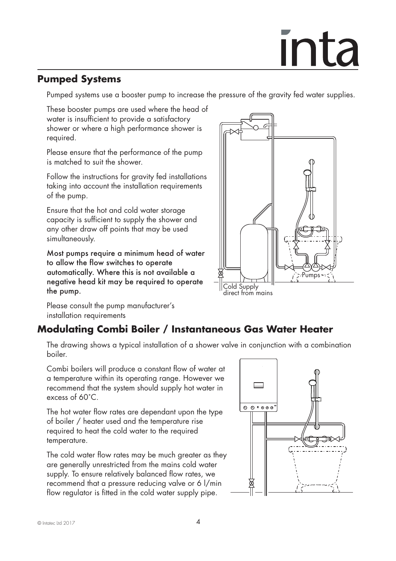### **Pumped Systems**

Pumped systems use a booster pump to increase the pressure of the gravity fed water supplies.

 These booster pumps are used where the head of water is insufficient to provide a satisfactory shower or where a high performance shower is required.

 Please ensure that the performance of the pump is matched to suit the shower.

 Follow the instructions for gravity fed installations taking into account the installation requirements of the pump.

 Ensure that the hot and cold water storage capacity is sufficient to supply the shower and any other draw off points that may be used simultaneously.

 Most pumps require a minimum head of water to allow the flow switches to operate automatically. Where this is not available a negative head kit may be required to operate the pump.

Pumps Cold Supply

direct from mains

 Please consult the pump manufacturer's installation requirements

### **Modulating Combi Boiler / Instantaneous Gas Water Heater**

 The drawing shows a typical installation of a shower valve in conjunction with a combination boiler.

 Combi boilers will produce a constant flow of water at a temperature within its operating range. However we recommend that the system should supply hot water in excess of 60˚C.

 The hot water flow rates are dependant upon the type of boiler / heater used and the temperature rise required to heat the cold water to the required temperature.

 The cold water flow rates may be much greater as they are generally unrestricted from the mains cold water supply. To ensure relatively balanced flow rates, we recommend that a pressure reducing valve or 6 l/min flow regulator is fitted in the cold water supply pipe.

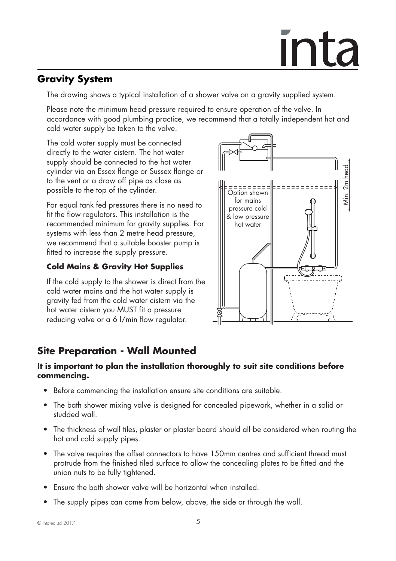### **Gravity System**

The drawing shows a typical installation of a shower valve on a gravity supplied system.

 Please note the minimum head pressure required to ensure operation of the valve. In accordance with good plumbing practice, we recommend that a totally independent hot and cold water supply be taken to the valve.

 The cold water supply must be connected directly to the water cistern. The hot water supply should be connected to the hot water cylinder via an Essex flange or Sussex flange or to the vent or a draw off pipe as close as possible to the top of the cylinder.

 For equal tank fed pressures there is no need to fit the flow regulators. This installation is the recommended minimum for gravity supplies. For systems with less than 2 metre head pressure, we recommend that a suitable booster pump is fitted to increase the supply pressure.

### **Cold Mains & Gravity Hot Supplies**

 If the cold supply to the shower is direct from the cold water mains and the hot water supply is gravity fed from the cold water cistern via the hot water cistern you MUST fit a pressure reducing valve or a 6 l/min flow regulator.



### **Site Preparation - Wall Mounted**

### **It is important to plan the installation thoroughly to suit site conditions before commencing.**

- Before commencing the installation ensure site conditions are suitable.
- The bath shower mixing valve is designed for concealed pipework, whether in a solid or studded wall.
- The thickness of wall tiles, plaster or plaster board should all be considered when routing the hot and cold supply pipes.
- The valve requires the offset connectors to have 150mm centres and sufficient thread must protrude from the finished tiled surface to allow the concealing plates to be fitted and the union nuts to be fully tightened.
- Ensure the bath shower valve will be horizontal when installed.
- The supply pipes can come from below, above, the side or through the wall.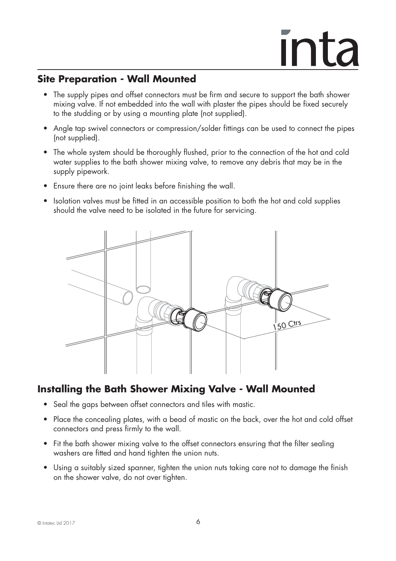### **Site Preparation - Wall Mounted**

- The supply pipes and offset connectors must be firm and secure to support the bath shower mixing valve. If not embedded into the wall with plaster the pipes should be fixed securely to the studding or by using a mounting plate (not supplied).
- Angle tap swivel connectors or compression/solder fittings can be used to connect the pipes (not supplied).
- The whole system should be thoroughly flushed, prior to the connection of the hot and cold water supplies to the bath shower mixing valve, to remove any debris that may be in the supply pipework.
- Ensure there are no joint leaks before finishing the wall.
- Isolation valves must be fitted in an accessible position to both the hot and cold supplies should the valve need to be isolated in the future for servicing.



### **Installing the Bath Shower Mixing Valve - Wall Mounted**

- Seal the gaps between offset connectors and tiles with mastic.
- Place the concealing plates, with a bead of mastic on the back, over the hot and cold offset connectors and press firmly to the wall.
- Fit the bath shower mixing valve to the offset connectors ensuring that the filter sealing washers are fitted and hand tighten the union nuts.
- Using a suitably sized spanner, tighten the union nuts taking care not to damage the finish on the shower valve, do not over tighten.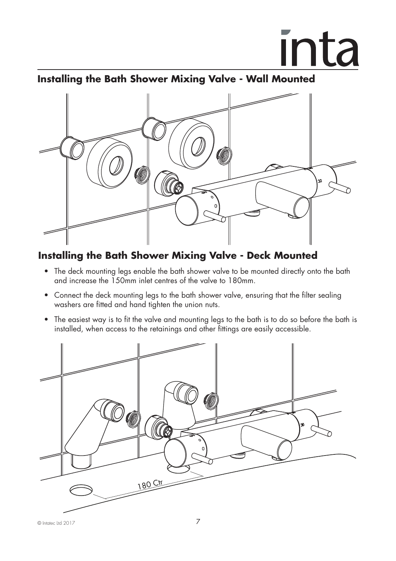### **Installing the Bath Shower Mixing Valve - Wall Mounted**



### **Installing the Bath Shower Mixing Valve - Deck Mounted**

- The deck mounting legs enable the bath shower valve to be mounted directly onto the bath and increase the 150mm inlet centres of the valve to 180mm.
- Connect the deck mounting legs to the bath shower valve, ensuring that the filter sealing washers are fitted and hand tighten the union nuts.
- The easiest way is to fit the valve and mounting legs to the bath is to do so before the bath is installed, when access to the retainings and other fittings are easily accessible.

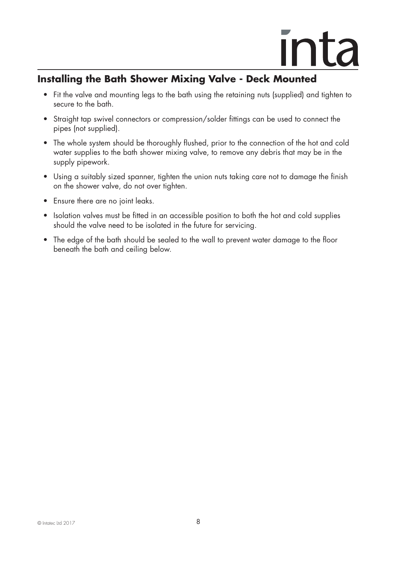### **Installing the Bath Shower Mixing Valve - Deck Mounted**

- Fit the valve and mounting legs to the bath using the retaining nuts (supplied) and tighten to secure to the bath.
- Straight tap swivel connectors or compression/solder fittings can be used to connect the pipes (not supplied).
- The whole system should be thoroughly flushed, prior to the connection of the hot and cold water supplies to the bath shower mixing valve, to remove any debris that may be in the supply pipework.
- Using a suitably sized spanner, tighten the union nuts taking care not to damage the finish on the shower valve, do not over tighten.
- Ensure there are no joint leaks.
- Isolation valves must be fitted in an accessible position to both the hot and cold supplies should the valve need to be isolated in the future for servicing.
- The edge of the bath should be sealed to the wall to prevent water damage to the floor beneath the bath and ceiling below.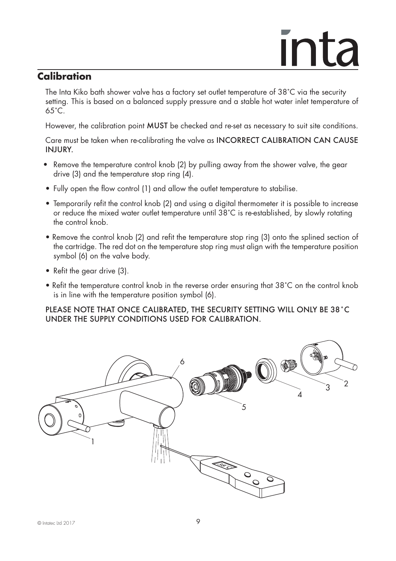### **Calibration**

The Inta Kiko bath shower valve has a factory set outlet temperature of 38˚C via the security setting. This is based on a balanced supply pressure and a stable hot water inlet temperature of 65˚C.

However, the calibration point MUST be checked and re-set as necessary to suit site conditions.

Care must be taken when re-calibrating the valve as INCORRECT CALIBRATION CAN CAUSE INJURY.

- Remove the temperature control knob (2) by pulling away from the shower valve, the gear drive (3) and the temperature stop ring (4).
- Fully open the flow control (1) and allow the outlet temperature to stabilise.
- Temporarily refit the control knob (2) and using a digital thermometer it is possible to increase or reduce the mixed water outlet temperature until 38˚C is re-established, by slowly rotating the control knob.
- Remove the control knob (2) and refit the temperature stop ring (3) onto the splined section of the cartridge. The red dot on the temperature stop ring must align with the temperature position symbol (6) on the valve body.
- Refit the gear drive (3).
- Refit the temperature control knob in the reverse order ensuring that 38˚C on the control knob is in line with the temperature position symbol (6).

PLEASE NOTE THAT ONCE CALIBRATED, THE SECURITY SETTING WILL ONLY BE 38˚C UNDER THE SUPPLY CONDITIONS USED FOR CALIBRATION.

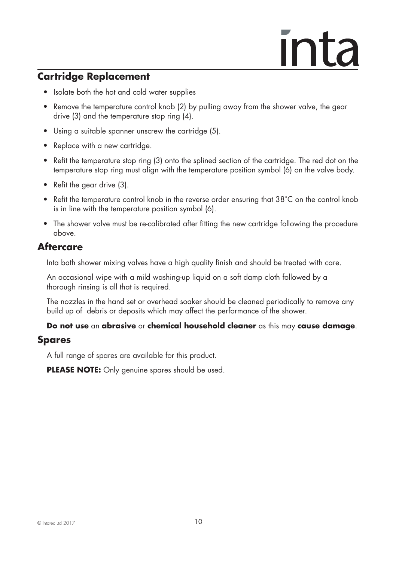### **Cartridge Replacement**

- Isolate both the hot and cold water supplies
- Remove the temperature control knob (2) by pulling away from the shower valve, the gear drive (3) and the temperature stop ring (4).
- Using a suitable spanner unscrew the cartridge (5).
- Replace with a new cartridge.
- Refit the temperature stop ring (3) onto the splined section of the cartridge. The red dot on the temperature stop ring must align with the temperature position symbol (6) on the valve body.
- Refit the gear drive (3).
- Refit the temperature control knob in the reverse order ensuring that 38°C on the control knob is in line with the temperature position symbol (6).
- The shower valve must be re-calibrated after fitting the new cartridge following the procedure above.

### **Aftercare**

Inta bath shower mixing valves have a high quality finish and should be treated with care.

 An occasional wipe with a mild washing-up liquid on a soft damp cloth followed by a thorough rinsing is all that is required.

 The nozzles in the hand set or overhead soaker should be cleaned periodically to remove any build up of debris or deposits which may affect the performance of the shower.

### **Do not use** an **abrasive** or **chemical household cleaner** as this may **cause damage**.

### **Spares**

A full range of spares are available for this product.

**PLEASE NOTE:** Only genuine spares should be used.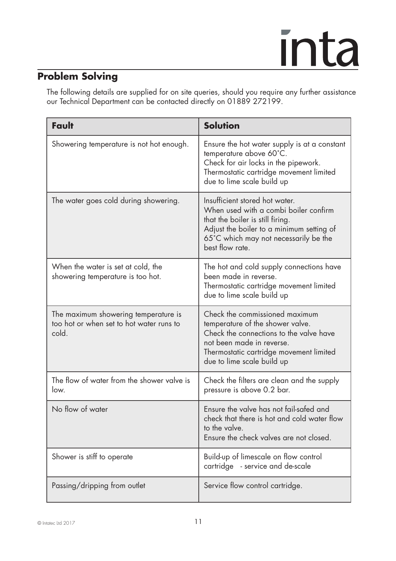### **Problem Solving**

 The following details are supplied for on site queries, should you require any further assistance our Technical Department can be contacted directly on 01889 272199.

| Fault                                                                                     | <b>Solution</b>                                                                                                                                                                                                      |
|-------------------------------------------------------------------------------------------|----------------------------------------------------------------------------------------------------------------------------------------------------------------------------------------------------------------------|
| Showering temperature is not hot enough.                                                  | Ensure the hot water supply is at a constant<br>temperature above 60°C.<br>Check for air locks in the pipework.<br>Thermostatic cartridge movement limited<br>due to lime scale build up                             |
| The water goes cold during showering.                                                     | Insufficient stored hot water.<br>When used with a combi boiler confirm<br>that the boiler is still firing.<br>Adjust the boiler to a minimum setting of<br>65°C which may not necessarily be the<br>best flow rate. |
| When the water is set at cold, the<br>showering temperature is too hot.                   | The hot and cold supply connections have<br>been made in reverse.<br>Thermostatic cartridge movement limited<br>due to lime scale build up                                                                           |
| The maximum showering temperature is<br>too hot or when set to hot water runs to<br>cold. | Check the commissioned maximum<br>temperature of the shower valve.<br>Check the connections to the valve have<br>not been made in reverse.<br>Thermostatic cartridge movement limited<br>due to lime scale build up  |
| The flow of water from the shower valve is<br>low.                                        | Check the filters are clean and the supply<br>pressure is above 0.2 bar.                                                                                                                                             |
| No flow of water                                                                          | Ensure the valve has not fail-safed and<br>check that there is hot and cold water flow<br>to the valve.<br>Ensure the check valves are not closed.                                                                   |
| Shower is stiff to operate                                                                | Build-up of limescale on flow control<br>cartridge - service and de-scale                                                                                                                                            |
| Passing/dripping from outlet                                                              | Service flow control cartridge.                                                                                                                                                                                      |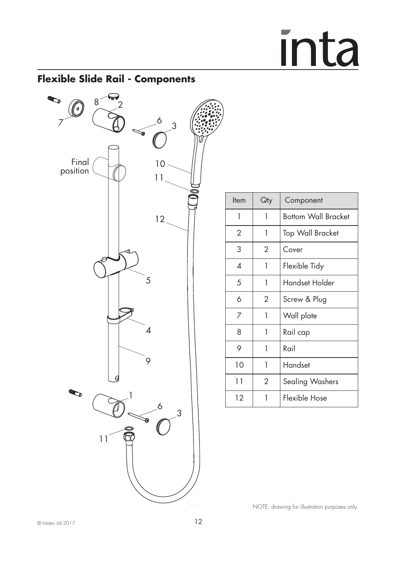### **Flexible Slide Rail - Components**



| ltem                     | Qty            | Component                  |
|--------------------------|----------------|----------------------------|
| 1                        | 1              | <b>Bottom Wall Bracket</b> |
| 2                        | 1              | <b>Top Wall Bracket</b>    |
| 3                        | 2              | Cover                      |
| $\boldsymbol{\varDelta}$ | 1              | Flexible Tidy              |
| 5                        | 1              | Handset Holder             |
| 6                        | $\overline{2}$ | Screw & Plug               |
| 7                        | 1              | Wall plate                 |
| 8                        | 1              | Rail cap                   |
| 9                        | 1              | Rail                       |
| 10                       | 1              | Handset                    |
| 11                       | $\overline{2}$ | Sealing Washers            |
| 12                       | 1              | Flexible Hose              |

NOTE: drawing for illustration purposes only.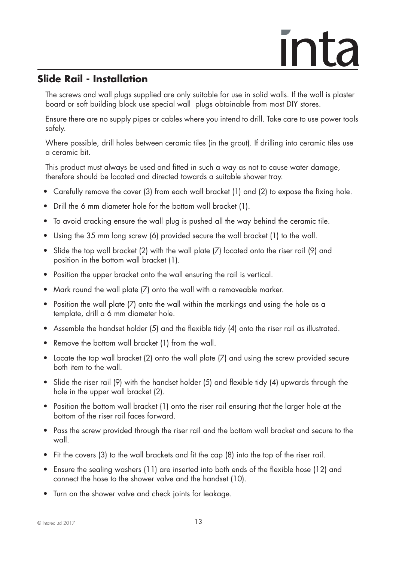### **Slide Rail - Installation**

 The screws and wall plugs supplied are only suitable for use in solid walls. If the wall is plaster board or soft building block use special wall plugs obtainable from most DIY stores.

 Ensure there are no supply pipes or cables where you intend to drill. Take care to use power tools safely.

 Where possible, drill holes between ceramic tiles (in the grout). If drilling into ceramic tiles use a ceramic bit.

 This product must always be used and fitted in such a way as not to cause water damage, therefore should be located and directed towards a suitable shower tray.

- Carefully remove the cover (3) from each wall bracket (1) and (2) to expose the fixing hole.
- Drill the 6 mm diameter hole for the bottom wall bracket (1).
- To avoid cracking ensure the wall plug is pushed all the way behind the ceramic tile.
- Using the 35 mm long screw (6) provided secure the wall bracket (1) to the wall.
- Slide the top wall bracket (2) with the wall plate (7) located onto the riser rail (9) and position in the bottom wall bracket (1).
- Position the upper bracket onto the wall ensuring the rail is vertical.
- Mark round the wall plate (7) onto the wall with a removeable marker.
- Position the wall plate (7) onto the wall within the markings and using the hole as a template, drill a 6 mm diameter hole.
- Assemble the handset holder (5) and the flexible tidy (4) onto the riser rail as illustrated.
- Remove the bottom wall bracket (1) from the wall.
- Locate the top wall bracket (2) onto the wall plate (7) and using the screw provided secure both item to the wall.
- Slide the riser rail (9) with the handset holder (5) and flexible tidy (4) upwards through the hole in the upper wall bracket (2).
- Position the bottom wall bracket (1) onto the riser rail ensuring that the larger hole at the bottom of the riser rail faces forward.
- Pass the screw provided through the riser rail and the bottom wall bracket and secure to the wall.
- Fit the covers (3) to the wall brackets and fit the cap (8) into the top of the riser rail.
- Ensure the sealing washers (11) are inserted into both ends of the flexible hose (12) and connect the hose to the shower valve and the handset (10).
- Turn on the shower valve and check joints for leakage.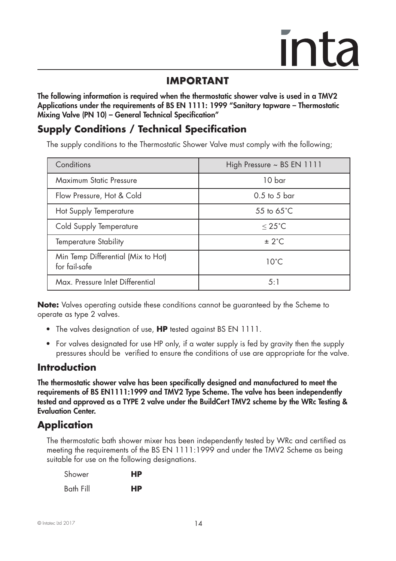### **IMPORTANT IMPORTANT**

**The following information is required when the thermostatic shower valve is used in a TMV2 Applications under the requirements of BS EN 1111: 1999 "Sanitary tapware – Thermostatic Mixing Valve (PN 10) – General Technical Specification"**

### **Supply Conditions / Technical Specification**

The supply conditions to the Thermostatic Shower Valve must comply with the following;

| Conditions                                          | High Pressure $\sim$ BS EN 1111 |
|-----------------------------------------------------|---------------------------------|
| Maximum Static Pressure                             | 10 bar                          |
| Flow Pressure, Hot & Cold                           | $0.5$ to 5 bar                  |
| Hot Supply Temperature                              | 55 to $65^{\circ}$ C            |
| Cold Supply Temperature                             | $< 25^{\circ}$ C                |
| Temperature Stability                               | ± 2°C                           |
| Min Temp Differential (Mix to Hot)<br>for fail-safe | $10^{\circ}$ C                  |
| Max. Pressure Inlet Differential                    | 5:1                             |

**Note:** Valves operating outside these conditions cannot be guaranteed by the Scheme to operate as type 2 valves.

- The valves designation of use, **HP** tested against BS EN 1111.
- For valves designated for use HP only, if a water supply is fed by gravity then the supply pressures should be verified to ensure the conditions of use are appropriate for the valve.

### **Introduction**

**The thermostatic shower valve has been specifically designed and manufactured to meet the requirements of BS EN1111:1999 and TMV2 Type Scheme. The valve has been independently tested and approved as a TYPE 2 valve under the BuildCert TMV2 scheme by the WRc Testing & Evaluation Center.**

### **Application**

The thermostatic bath shower mixer has been independently tested by WRc and certified as meeting the requirements of the BS EN 1111:1999 and under the TMV2 Scheme as being suitable for use on the following designations.

| Shower    | HP |
|-----------|----|
| Bath Fill | HP |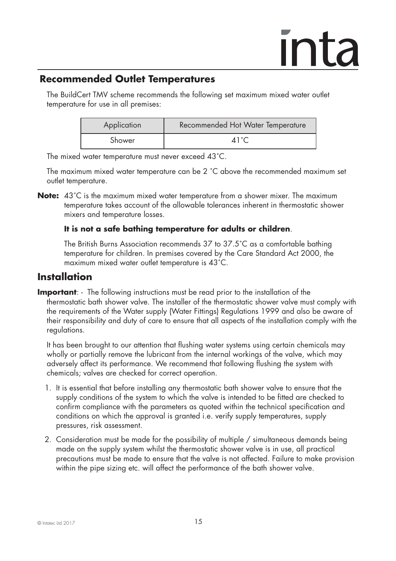### **Recommended Outlet Temperatures**

The BuildCert TMV scheme recommends the following set maximum mixed water outlet temperature for use in all premises:

| Application | Recommended Hot Water Temperature |
|-------------|-----------------------------------|
| Shower      | 41 $^{\circ}$ C                   |

The mixed water temperature must never exceed 43˚C.

 The maximum mixed water temperature can be 2 ˚C above the recommended maximum set outlet temperature.

**Note:** 43°C is the maximum mixed water temperature from a shower mixer. The maximum temperature takes account of the allowable tolerances inherent in thermostatic shower mixers and temperature losses.

### **It is not a safe bathing temperature for adults or children**.

 The British Burns Association recommends 37 to 37.5˚C as a comfortable bathing temperature for children. In premises covered by the Care Standard Act 2000, the maximum mixed water outlet temperature is 43˚C.

### **Installation**

**Important**: - The following instructions must be read prior to the installation of the thermostatic bath shower valve. The installer of the thermostatic shower valve must comply with the requirements of the Water supply (Water Fittings) Regulations 1999 and also be aware of their responsibility and duty of care to ensure that all aspects of the installation comply with the regulations.

 It has been brought to our attention that flushing water systems using certain chemicals may wholly or partially remove the lubricant from the internal workings of the valve, which may adversely affect its performance. We recommend that following flushing the system with chemicals; valves are checked for correct operation.

- 1. It is essential that before installing any thermostatic bath shower valve to ensure that the supply conditions of the system to which the valve is intended to be fitted are checked to confirm compliance with the parameters as quoted within the technical specification and conditions on which the approval is granted i.e. verify supply temperatures, supply pressures, risk assessment.
- 2. Consideration must be made for the possibility of multiple / simultaneous demands being made on the supply system whilst the thermostatic shower valve is in use, all practical precautions must be made to ensure that the valve is not affected. Failure to make provision within the pipe sizing etc. will affect the performance of the bath shower valve.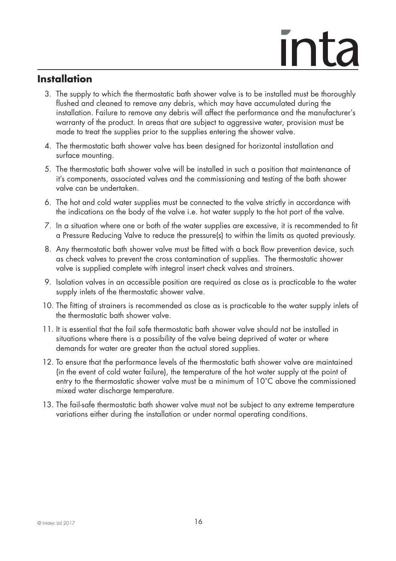### **Installation**

- 3. The supply to which the thermostatic bath shower valve is to be installed must be thoroughly flushed and cleaned to remove any debris, which may have accumulated during the installation. Failure to remove any debris will affect the performance and the manufacturer's warranty of the product. In areas that are subject to aggressive water, provision must be made to treat the supplies prior to the supplies entering the shower valve.
- 4. The thermostatic bath shower valve has been designed for horizontal installation and surface mounting.
- 5. The thermostatic bath shower valve will be installed in such a position that maintenance of it's components, associated valves and the commissioning and testing of the bath shower valve can be undertaken.
- 6. The hot and cold water supplies must be connected to the valve strictly in accordance with the indications on the body of the valve i.e. hot water supply to the hot port of the valve.
- 7. In a situation where one or both of the water supplies are excessive, it is recommended to fit a Pressure Reducing Valve to reduce the pressure(s) to within the limits as quoted previously.
- 8. Any thermostatic bath shower valve must be fitted with a back flow prevention device, such as check valves to prevent the cross contamination of supplies. The thermostatic shower valve is supplied complete with integral insert check valves and strainers.
- 9. Isolation valves in an accessible position are required as close as is practicable to the water supply inlets of the thermostatic shower valve.
- 10. The fitting of strainers is recommended as close as is practicable to the water supply inlets of the thermostatic bath shower valve.
- 11. It is essential that the fail safe thermostatic bath shower valve should not be installed in situations where there is a possibility of the valve being deprived of water or where demands for water are greater than the actual stored supplies.
- 12. To ensure that the performance levels of the thermostatic bath shower valve are maintained (in the event of cold water failure), the temperature of the hot water supply at the point of entry to the thermostatic shower valve must be a minimum of 10˚C above the commissioned mixed water discharge temperature.
- 13. The fail-safe thermostatic bath shower valve must not be subject to any extreme temperature variations either during the installation or under normal operating conditions.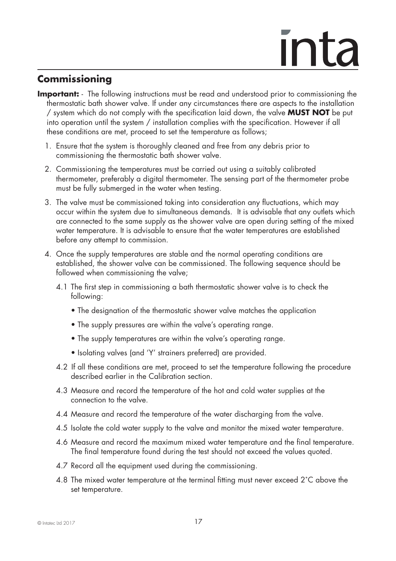### ınta

### **Commissioning**

- **Important:** The following instructions must be read and understood prior to commissioning the thermostatic bath shower valve. If under any circumstances there are aspects to the installation / system which do not comply with the specification laid down, the valve **MUST NOT** be put into operation until the system / installation complies with the specification. However if all these conditions are met, proceed to set the temperature as follows;
	- 1. Ensure that the system is thoroughly cleaned and free from any debris prior to commissioning the thermostatic bath shower valve.
	- 2. Commissioning the temperatures must be carried out using a suitably calibrated thermometer, preferably a digital thermometer. The sensing part of the thermometer probe must be fully submerged in the water when testing.
	- 3. The valve must be commissioned taking into consideration any fluctuations, which may occur within the system due to simultaneous demands. It is advisable that any outlets which are connected to the same supply as the shower valve are open during setting of the mixed water temperature. It is advisable to ensure that the water temperatures are established before any attempt to commission.
	- 4. Once the supply temperatures are stable and the normal operating conditions are established, the shower valve can be commissioned. The following sequence should be followed when commissioning the valve;
		- 4.1 The first step in commissioning a bath thermostatic shower valve is to check the following:
			- The designation of the thermostatic shower valve matches the application
			- The supply pressures are within the valve's operating range.
			- The supply temperatures are within the valve's operating range.
			- Isolating valves (and 'Y' strainers preferred) are provided.
		- 4.2 If all these conditions are met, proceed to set the temperature following the procedure described earlier in the Calibration section.
		- 4.3 Measure and record the temperature of the hot and cold water supplies at the connection to the valve.
		- 4.4 Measure and record the temperature of the water discharging from the valve.
		- 4.5 Isolate the cold water supply to the valve and monitor the mixed water temperature.
		- 4.6 Measure and record the maximum mixed water temperature and the final temperature. The final temperature found during the test should not exceed the values quoted.
		- 4.7 Record all the equipment used during the commissioning.
		- 4.8 The mixed water temperature at the terminal fitting must never exceed 2˚C above the set temperature.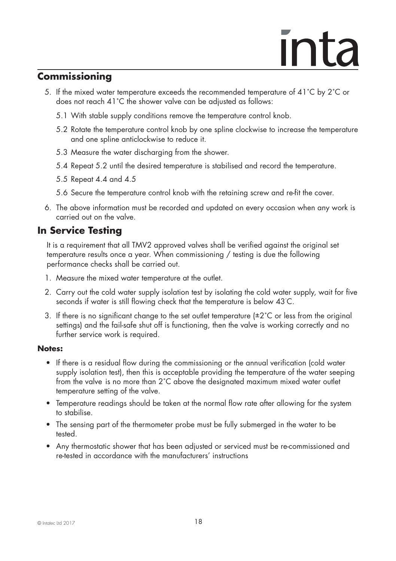### **Commissioning**

- 5. If the mixed water temperature exceeds the recommended temperature of 41˚C by 2˚C or does not reach 41˚C the shower valve can be adjusted as follows:
	- 5.1 With stable supply conditions remove the temperature control knob.
	- 5.2 Rotate the temperature control knob by one spline clockwise to increase the temperature and one spline anticlockwise to reduce it.
	- 5.3 Measure the water discharging from the shower.
	- 5.4 Repeat 5.2 until the desired temperature is stabilised and record the temperature.
	- 5.5 Repeat 4.4 and 4.5
	- 5.6 Secure the temperature control knob with the retaining screw and re-fit the cover.
- 6. The above information must be recorded and updated on every occasion when any work is carried out on the valve.

### **In Service Testing**

 It is a requirement that all TMV2 approved valves shall be verified against the original set temperature results once a year. When commissioning / testing is due the following performance checks shall be carried out.

- 1. Measure the mixed water temperature at the outlet.
- 2. Carry out the cold water supply isolation test by isolating the cold water supply, wait for five seconds if water is still flowing check that the temperature is below 43˚ C.
	- 3. If there is no significant change to the set outlet temperature  $(\pm 2^{\circ}C)$  or less from the original settings) and the fail-safe shut off is functioning, then the valve is working correctly and no further service work is required.

### **Notes:**

- If there is a residual flow during the commissioning or the annual verification (cold water supply isolation test), then this is acceptable providing the temperature of the water seeping from the valve is no more than 2˚C above the designated maximum mixed water outlet temperature setting of the valve.
- Temperature readings should be taken at the normal flow rate after allowing for the system to stabilise.
- The sensing part of the thermometer probe must be fully submerged in the water to be tested.
- Any thermostatic shower that has been adjusted or serviced must be re-commissioned and re-tested in accordance with the manufacturers' instructions